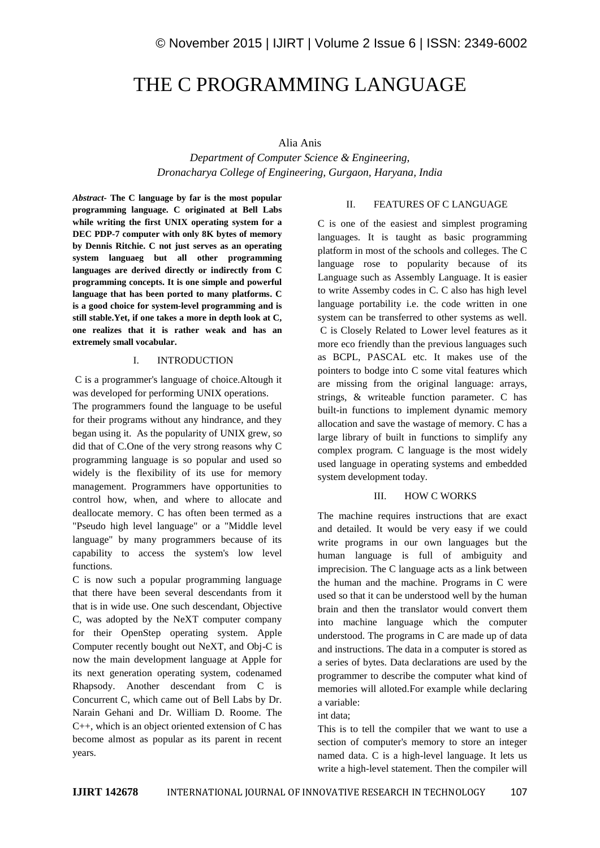# THE C PROGRAMMING LANGUAGE

## Alia Anis

*Department of Computer Science & Engineering, Dronacharya College of Engineering, Gurgaon, Haryana, India*

*Abstract-* **The C language by far is the most popular programming language. C originated at Bell Labs while writing the first UNIX operating system for a DEC PDP-7 computer with only 8K bytes of memory by Dennis Ritchie. C not just serves as an operating system languaeg but all other programming languages are derived directly or indirectly from C programming concepts. It is one simple and powerful language that has been ported to many platforms. C is a good choice for system-level programming and is still stable.Yet, if one takes a more in depth look at C, one realizes that it is rather weak and has an extremely small vocabular.**

#### I. INTRODUCTION

C is a programmer's language of choice.Altough it was developed for performing UNIX operations.

The programmers found the language to be useful for their programs without any hindrance, and they began using it. As the popularity of UNIX grew, so did that of C.One of the very strong reasons why C programming language is so popular and used so widely is the flexibility of its use for memory management. Programmers have opportunities to control how, when, and where to allocate and deallocate memory. C has often been termed as a "Pseudo high level language" or a "Middle level language" by many programmers because of its capability to access the system's low level functions.

C is now such a popular programming language that there have been several descendants from it that is in wide use. One such descendant, Objective C, was adopted by the NeXT computer company for their OpenStep operating system. Apple Computer recently bought out NeXT, and Obj-C is now the main development language at Apple for its next generation operating system, codenamed Rhapsody. Another descendant from C is Concurrent C, which came out of Bell Labs by Dr. Narain Gehani and Dr. William D. Roome. The C++, which is an object oriented extension of C has become almost as popular as its parent in recent years.

## II. FEATURES OF C LANGUAGE

C is one of the easiest and simplest programing languages. It is taught as basic programming platform in most of the schools and colleges. The C language rose to popularity because of its Language such as Assembly Language. It is easier to write Assemby codes in C. C also has high level language portability i.e. the code written in one system can be transferred to other systems as well. C is Closely Related to Lower level features as it more eco friendly than the previous languages such as BCPL, PASCAL etc. It makes use of the pointers to bodge into C some vital features which are missing from the original language: arrays, strings, & writeable function parameter. C has built-in functions to implement dynamic memory allocation and save the wastage of memory. C has a large library of built in functions to simplify any complex program. C language is the most widely used language in operating systems and embedded system development today.

## III. HOW C WORKS

The machine requires instructions that are exact and detailed. It would be very easy if we could write programs in our own languages but the human language is full of ambiguity and imprecision. The C language acts as a link between the human and the machine. Programs in C were used so that it can be understood well by the human brain and then the translator would convert them into machine language which the computer understood. The programs in C are made up of data and instructions. The data in a computer is stored as a series of bytes. Data declarations are used by the programmer to describe the computer what kind of memories will alloted.For example while declaring a variable:

#### int data;

This is to tell the compiler that we want to use a section of computer's memory to store an integer named data. C is a high-level language. It lets us write a high-level statement. Then the compiler will